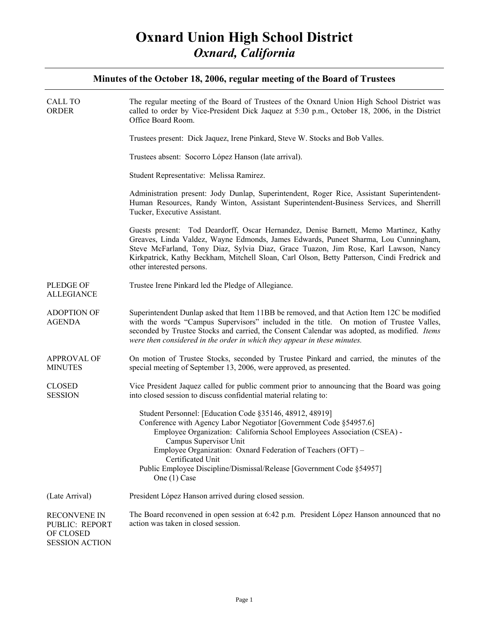| CALL TO<br><b>ORDER</b>                                                     | The regular meeting of the Board of Trustees of the Oxnard Union High School District was<br>called to order by Vice-President Dick Jaquez at 5:30 p.m., October 18, 2006, in the District<br>Office Board Room.                                                                                                                                                                                                  |
|-----------------------------------------------------------------------------|-------------------------------------------------------------------------------------------------------------------------------------------------------------------------------------------------------------------------------------------------------------------------------------------------------------------------------------------------------------------------------------------------------------------|
|                                                                             | Trustees present: Dick Jaquez, Irene Pinkard, Steve W. Stocks and Bob Valles.                                                                                                                                                                                                                                                                                                                                     |
|                                                                             | Trustees absent: Socorro López Hanson (late arrival).                                                                                                                                                                                                                                                                                                                                                             |
|                                                                             | Student Representative: Melissa Ramirez.                                                                                                                                                                                                                                                                                                                                                                          |
|                                                                             | Administration present: Jody Dunlap, Superintendent, Roger Rice, Assistant Superintendent-<br>Human Resources, Randy Winton, Assistant Superintendent-Business Services, and Sherrill<br>Tucker, Executive Assistant.                                                                                                                                                                                             |
|                                                                             | Guests present: Tod Deardorff, Oscar Hernandez, Denise Barnett, Memo Martinez, Kathy<br>Greaves, Linda Valdez, Wayne Edmonds, James Edwards, Puneet Sharma, Lou Cunningham,<br>Steve McFarland, Tony Diaz, Sylvia Diaz, Grace Tuazon, Jim Rose, Karl Lawson, Nancy<br>Kirkpatrick, Kathy Beckham, Mitchell Sloan, Carl Olson, Betty Patterson, Cindi Fredrick and<br>other interested persons.                    |
| PLEDGE OF<br><b>ALLEGIANCE</b>                                              | Trustee Irene Pinkard led the Pledge of Allegiance.                                                                                                                                                                                                                                                                                                                                                               |
| <b>ADOPTION OF</b><br><b>AGENDA</b>                                         | Superintendent Dunlap asked that Item 11BB be removed, and that Action Item 12C be modified<br>with the words "Campus Supervisors" included in the title. On motion of Trustee Valles,<br>seconded by Trustee Stocks and carried, the Consent Calendar was adopted, as modified. Items<br>were then considered in the order in which they appear in these minutes.                                                |
| APPROVAL OF<br><b>MINUTES</b>                                               | On motion of Trustee Stocks, seconded by Trustee Pinkard and carried, the minutes of the<br>special meeting of September 13, 2006, were approved, as presented.                                                                                                                                                                                                                                                   |
| <b>CLOSED</b><br><b>SESSION</b>                                             | Vice President Jaquez called for public comment prior to announcing that the Board was going<br>into closed session to discuss confidential material relating to:                                                                                                                                                                                                                                                 |
|                                                                             | Student Personnel: [Education Code §35146, 48912, 48919]<br>Conference with Agency Labor Negotiator [Government Code §54957.6]<br>Employee Organization: California School Employees Association (CSEA) -<br>Campus Supervisor Unit<br>Employee Organization: Oxnard Federation of Teachers (OFT) –<br>Certificated Unit<br>Public Employee Discipline/Dismissal/Release [Government Code §54957]<br>One (1) Case |
| (Late Arrival)                                                              | President López Hanson arrived during closed session.                                                                                                                                                                                                                                                                                                                                                             |
| <b>RECONVENE IN</b><br>PUBLIC: REPORT<br>OF CLOSED<br><b>SESSION ACTION</b> | The Board reconvened in open session at 6:42 p.m. President López Hanson announced that no<br>action was taken in closed session.                                                                                                                                                                                                                                                                                 |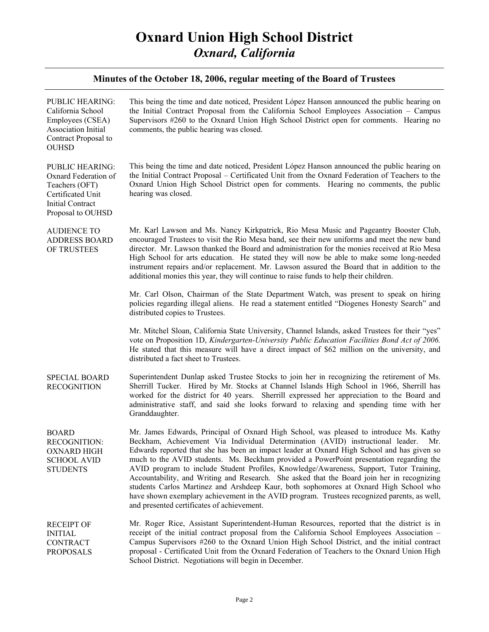# **Oxnard Union High School District**  *Oxnard, California*

| <b>PUBLIC HEARING:</b><br>California School<br>Employees (CSEA)<br>Association Initial<br>Contract Proposal to<br><b>OUHSD</b> | This being the time and date noticed, President López Hanson announced the public hearing on<br>the Initial Contract Proposal from the California School Employees Association - Campus<br>Supervisors #260 to the Oxnard Union High School District open for comments. Hearing no<br>comments, the public hearing was closed.                                                                                                                                                                                                                                                                                                                                                                                                                                                                          |
|--------------------------------------------------------------------------------------------------------------------------------|---------------------------------------------------------------------------------------------------------------------------------------------------------------------------------------------------------------------------------------------------------------------------------------------------------------------------------------------------------------------------------------------------------------------------------------------------------------------------------------------------------------------------------------------------------------------------------------------------------------------------------------------------------------------------------------------------------------------------------------------------------------------------------------------------------|
| <b>PUBLIC HEARING:</b><br>Oxnard Federation of<br>Teachers (OFT)<br>Certificated Unit<br>Initial Contract<br>Proposal to OUHSD | This being the time and date noticed, President López Hanson announced the public hearing on<br>the Initial Contract Proposal – Certificated Unit from the Oxnard Federation of Teachers to the<br>Oxnard Union High School District open for comments. Hearing no comments, the public<br>hearing was closed.                                                                                                                                                                                                                                                                                                                                                                                                                                                                                          |
| <b>AUDIENCE TO</b><br><b>ADDRESS BOARD</b><br>OF TRUSTEES                                                                      | Mr. Karl Lawson and Ms. Nancy Kirkpatrick, Rio Mesa Music and Pageantry Booster Club,<br>encouraged Trustees to visit the Rio Mesa band, see their new uniforms and meet the new band<br>director. Mr. Lawson thanked the Board and administration for the monies received at Rio Mesa<br>High School for arts education. He stated they will now be able to make some long-needed<br>instrument repairs and/or replacement. Mr. Lawson assured the Board that in addition to the<br>additional monies this year, they will continue to raise funds to help their children.                                                                                                                                                                                                                             |
|                                                                                                                                | Mr. Carl Olson, Chairman of the State Department Watch, was present to speak on hiring<br>policies regarding illegal aliens. He read a statement entitled "Diogenes Honesty Search" and<br>distributed copies to Trustees.                                                                                                                                                                                                                                                                                                                                                                                                                                                                                                                                                                              |
|                                                                                                                                | Mr. Mitchel Sloan, California State University, Channel Islands, asked Trustees for their "yes"<br>vote on Proposition 1D, Kindergarten-University Public Education Facilities Bond Act of 2006.<br>He stated that this measure will have a direct impact of \$62 million on the university, and<br>distributed a fact sheet to Trustees.                                                                                                                                                                                                                                                                                                                                                                                                                                                               |
| <b>SPECIAL BOARD</b><br><b>RECOGNITION</b>                                                                                     | Superintendent Dunlap asked Trustee Stocks to join her in recognizing the retirement of Ms.<br>Sherrill Tucker. Hired by Mr. Stocks at Channel Islands High School in 1966, Sherrill has<br>worked for the district for 40 years. Sherrill expressed her appreciation to the Board and<br>administrative staff, and said she looks forward to relaxing and spending time with her<br>Granddaughter.                                                                                                                                                                                                                                                                                                                                                                                                     |
| <b>BOARD</b><br><b>RECOGNITION:</b><br>OXNARD HIGH<br><b>SCHOOL AVID</b><br><b>STUDENTS</b>                                    | Mr. James Edwards, Principal of Oxnard High School, was pleased to introduce Ms. Kathy<br>Beckham, Achievement Via Individual Determination (AVID) instructional leader.<br>Mr.<br>Edwards reported that she has been an impact leader at Oxnard High School and has given so<br>much to the AVID students. Ms. Beckham provided a PowerPoint presentation regarding the<br>AVID program to include Student Profiles, Knowledge/Awareness, Support, Tutor Training,<br>Accountability, and Writing and Research. She asked that the Board join her in recognizing<br>students Carlos Martinez and Arshdeep Kaur, both sophomores at Oxnard High School who<br>have shown exemplary achievement in the AVID program. Trustees recognized parents, as well,<br>and presented certificates of achievement. |
| <b>RECEIPT OF</b><br><b>INITIAL</b><br><b>CONTRACT</b><br><b>PROPOSALS</b>                                                     | Mr. Roger Rice, Assistant Superintendent-Human Resources, reported that the district is in<br>receipt of the initial contract proposal from the California School Employees Association -<br>Campus Supervisors #260 to the Oxnard Union High School District, and the initial contract<br>proposal - Certificated Unit from the Oxnard Federation of Teachers to the Oxnard Union High<br>School District. Negotiations will begin in December.                                                                                                                                                                                                                                                                                                                                                        |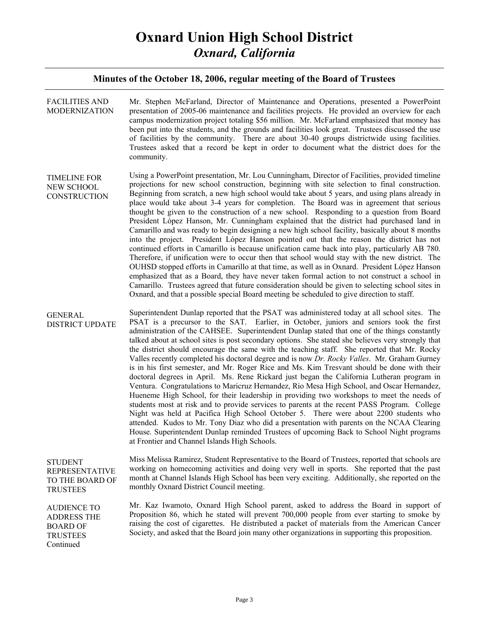# **Oxnard Union High School District**  *Oxnard, California*

#### **Minutes of the October 18, 2006, regular meeting of the Board of Trustees**

FACILITIES AND MODERNIZATION Mr. Stephen McFarland, Director of Maintenance and Operations, presented a PowerPoint presentation of 2005-06 maintenance and facilities projects. He provided an overview for each campus modernization project totaling \$56 million. Mr. McFarland emphasized that money has been put into the students, and the grounds and facilities look great. Trustees discussed the use of facilities by the community. There are about 30-40 groups districtwide using facilities. Trustees asked that a record be kept in order to document what the district does for the community.

TIMELINE FOR NEW SCHOOL **CONSTRUCTION** Using a PowerPoint presentation, Mr. Lou Cunningham, Director of Facilities, provided timeline projections for new school construction, beginning with site selection to final construction. Beginning from scratch, a new high school would take about 5 years, and using plans already in place would take about 3-4 years for completion. The Board was in agreement that serious thought be given to the construction of a new school. Responding to a question from Board President López Hanson, Mr. Cunningham explained that the district had purchased land in Camarillo and was ready to begin designing a new high school facility, basically about 8 months into the project. President López Hanson pointed out that the reason the district has not continued efforts in Camarillo is because unification came back into play, particularly AB 780. Therefore, if unification were to occur then that school would stay with the new district. The OUHSD stopped efforts in Camarillo at that time, as well as in Oxnard. President López Hanson emphasized that as a Board, they have never taken formal action to not construct a school in Camarillo. Trustees agreed that future consideration should be given to selecting school sites in Oxnard, and that a possible special Board meeting be scheduled to give direction to staff.

GENERAL DISTRICT UPDATE Superintendent Dunlap reported that the PSAT was administered today at all school sites. The PSAT is a precursor to the SAT. Earlier, in October, juniors and seniors took the first administration of the CAHSEE. Superintendent Dunlap stated that one of the things constantly talked about at school sites is post secondary options. She stated she believes very strongly that the district should encourage the same with the teaching staff. She reported that Mr. Rocky Valles recently completed his doctoral degree and is now *Dr. Rocky Valles*. Mr. Graham Gurney is in his first semester, and Mr. Roger Rice and Ms. Kim Tresvant should be done with their doctoral degrees in April. Ms. Rene Rickard just began the California Lutheran program in Ventura. Congratulations to Maricruz Hernandez, Rio Mesa High School, and Oscar Hernandez, Hueneme High School, for their leadership in providing two workshops to meet the needs of students most at risk and to provide services to parents at the recent PASS Program. College Night was held at Pacifica High School October 5. There were about 2200 students who attended. Kudos to Mr. Tony Diaz who did a presentation with parents on the NCAA Clearing House. Superintendent Dunlap reminded Trustees of upcoming Back to School Night programs at Frontier and Channel Islands High Schools.

**STUDENT** REPRESENTATIVE TO THE BOARD OF TRUSTEES Miss Melissa Ramirez, Student Representative to the Board of Trustees, reported that schools are working on homecoming activities and doing very well in sports. She reported that the past month at Channel Islands High School has been very exciting. Additionally, she reported on the monthly Oxnard District Council meeting.

BOARD OF **TRUSTEES** Continued

AUDIENCE TO ADDRESS THE Mr. Kaz Iwamoto, Oxnard High School parent, asked to address the Board in support of Proposition 86, which he stated will prevent 700,000 people from ever starting to smoke by raising the cost of cigarettes. He distributed a packet of materials from the American Cancer Society, and asked that the Board join many other organizations in supporting this proposition.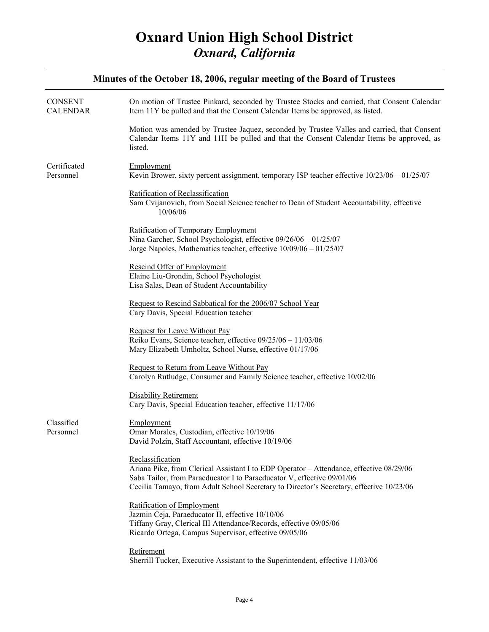| <b>CONSENT</b><br><b>CALENDAR</b> | On motion of Trustee Pinkard, seconded by Trustee Stocks and carried, that Consent Calendar<br>Item 11Y be pulled and that the Consent Calendar Items be approved, as listed.                                                                                                    |
|-----------------------------------|----------------------------------------------------------------------------------------------------------------------------------------------------------------------------------------------------------------------------------------------------------------------------------|
|                                   | Motion was amended by Trustee Jaquez, seconded by Trustee Valles and carried, that Consent<br>Calendar Items 11Y and 11H be pulled and that the Consent Calendar Items be approved, as<br>listed.                                                                                |
| Certificated<br>Personnel         | Employment<br>Kevin Brower, sixty percent assignment, temporary ISP teacher effective $10/23/06 - 01/25/07$                                                                                                                                                                      |
|                                   | Ratification of Reclassification<br>Sam Cvijanovich, from Social Science teacher to Dean of Student Accountability, effective<br>10/06/06                                                                                                                                        |
|                                   | Ratification of Temporary Employment<br>Nina Garcher, School Psychologist, effective 09/26/06 - 01/25/07<br>Jorge Napoles, Mathematics teacher, effective 10/09/06 - 01/25/07                                                                                                    |
|                                   | Rescind Offer of Employment<br>Elaine Liu-Grondin, School Psychologist<br>Lisa Salas, Dean of Student Accountability                                                                                                                                                             |
|                                   | Request to Rescind Sabbatical for the 2006/07 School Year<br>Cary Davis, Special Education teacher                                                                                                                                                                               |
|                                   | Request for Leave Without Pay<br>Reiko Evans, Science teacher, effective 09/25/06 - 11/03/06<br>Mary Elizabeth Umholtz, School Nurse, effective 01/17/06                                                                                                                         |
|                                   | Request to Return from Leave Without Pay<br>Carolyn Rutludge, Consumer and Family Science teacher, effective 10/02/06                                                                                                                                                            |
|                                   | <b>Disability Retirement</b><br>Cary Davis, Special Education teacher, effective 11/17/06                                                                                                                                                                                        |
| Classified<br>Personnel           | Employment<br>Omar Morales, Custodian, effective 10/19/06<br>David Polzin, Staff Accountant, effective 10/19/06                                                                                                                                                                  |
|                                   | Reclassification<br>Ariana Pike, from Clerical Assistant I to EDP Operator - Attendance, effective 08/29/06<br>Saba Tailor, from Paraeducator I to Paraeducator V, effective 09/01/06<br>Cecilia Tamayo, from Adult School Secretary to Director's Secretary, effective 10/23/06 |
|                                   | Ratification of Employment<br>Jazmin Ceja, Paraeducator II, effective 10/10/06<br>Tiffany Gray, Clerical III Attendance/Records, effective 09/05/06<br>Ricardo Ortega, Campus Supervisor, effective 09/05/06                                                                     |
|                                   | Retirement<br>Sherrill Tucker, Executive Assistant to the Superintendent, effective 11/03/06                                                                                                                                                                                     |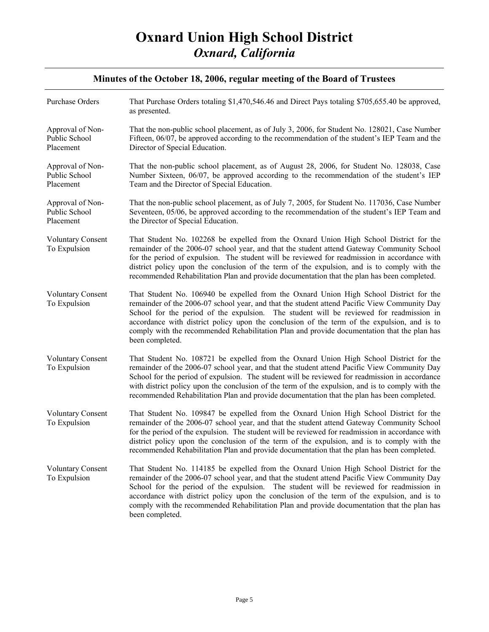| Purchase Orders                                | That Purchase Orders totaling \$1,470,546.46 and Direct Pays totaling \$705,655.40 be approved,<br>as presented.                                                                                                                                                                                                                                                                                                                                                                                   |
|------------------------------------------------|----------------------------------------------------------------------------------------------------------------------------------------------------------------------------------------------------------------------------------------------------------------------------------------------------------------------------------------------------------------------------------------------------------------------------------------------------------------------------------------------------|
| Approval of Non-<br>Public School<br>Placement | That the non-public school placement, as of July 3, 2006, for Student No. 128021, Case Number<br>Fifteen, 06/07, be approved according to the recommendation of the student's IEP Team and the<br>Director of Special Education.                                                                                                                                                                                                                                                                   |
| Approval of Non-<br>Public School<br>Placement | That the non-public school placement, as of August 28, 2006, for Student No. 128038, Case<br>Number Sixteen, 06/07, be approved according to the recommendation of the student's IEP<br>Team and the Director of Special Education.                                                                                                                                                                                                                                                                |
| Approval of Non-<br>Public School<br>Placement | That the non-public school placement, as of July 7, 2005, for Student No. 117036, Case Number<br>Seventeen, 05/06, be approved according to the recommendation of the student's IEP Team and<br>the Director of Special Education.                                                                                                                                                                                                                                                                 |
| <b>Voluntary Consent</b><br>To Expulsion       | That Student No. 102268 be expelled from the Oxnard Union High School District for the<br>remainder of the 2006-07 school year, and that the student attend Gateway Community School<br>for the period of expulsion. The student will be reviewed for readmission in accordance with<br>district policy upon the conclusion of the term of the expulsion, and is to comply with the<br>recommended Rehabilitation Plan and provide documentation that the plan has been completed.                 |
| <b>Voluntary Consent</b><br>To Expulsion       | That Student No. 106940 be expelled from the Oxnard Union High School District for the<br>remainder of the 2006-07 school year, and that the student attend Pacific View Community Day<br>School for the period of the expulsion. The student will be reviewed for readmission in<br>accordance with district policy upon the conclusion of the term of the expulsion, and is to<br>comply with the recommended Rehabilitation Plan and provide documentation that the plan has<br>been completed. |
| <b>Voluntary Consent</b><br>To Expulsion       | That Student No. 108721 be expelled from the Oxnard Union High School District for the<br>remainder of the 2006-07 school year, and that the student attend Pacific View Community Day<br>School for the period of expulsion. The student will be reviewed for readmission in accordance<br>with district policy upon the conclusion of the term of the expulsion, and is to comply with the<br>recommended Rehabilitation Plan and provide documentation that the plan has been completed.        |
| <b>Voluntary Consent</b><br>To Expulsion       | That Student No. 109847 be expelled from the Oxnard Union High School District for the<br>remainder of the 2006-07 school year, and that the student attend Gateway Community School<br>for the period of the expulsion. The student will be reviewed for readmission in accordance with<br>district policy upon the conclusion of the term of the expulsion, and is to comply with the<br>recommended Rehabilitation Plan and provide documentation that the plan has been completed.             |
| <b>Voluntary Consent</b><br>To Expulsion       | That Student No. 114185 be expelled from the Oxnard Union High School District for the<br>remainder of the 2006-07 school year, and that the student attend Pacific View Community Day<br>School for the period of the expulsion. The student will be reviewed for readmission in<br>accordance with district policy upon the conclusion of the term of the expulsion, and is to<br>comply with the recommended Rehabilitation Plan and provide documentation that the plan has<br>been completed. |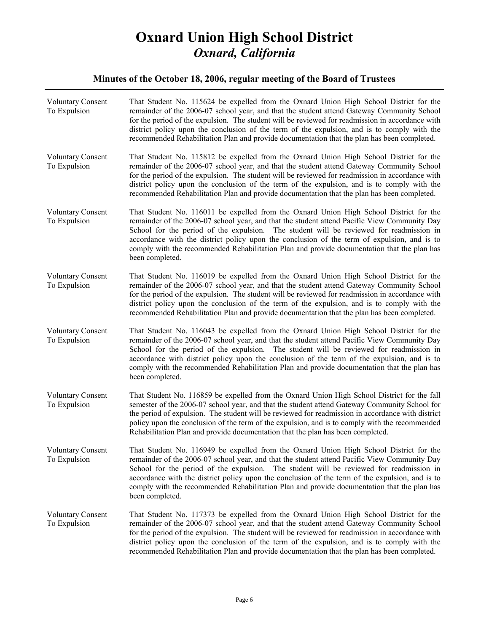| <b>Voluntary Consent</b><br>To Expulsion | That Student No. 115624 be expelled from the Oxnard Union High School District for the<br>remainder of the 2006-07 school year, and that the student attend Gateway Community School<br>for the period of the expulsion. The student will be reviewed for readmission in accordance with<br>district policy upon the conclusion of the term of the expulsion, and is to comply with the<br>recommended Rehabilitation Plan and provide documentation that the plan has been completed.                 |
|------------------------------------------|--------------------------------------------------------------------------------------------------------------------------------------------------------------------------------------------------------------------------------------------------------------------------------------------------------------------------------------------------------------------------------------------------------------------------------------------------------------------------------------------------------|
| <b>Voluntary Consent</b><br>To Expulsion | That Student No. 115812 be expelled from the Oxnard Union High School District for the<br>remainder of the 2006-07 school year, and that the student attend Gateway Community School<br>for the period of the expulsion. The student will be reviewed for readmission in accordance with<br>district policy upon the conclusion of the term of the expulsion, and is to comply with the<br>recommended Rehabilitation Plan and provide documentation that the plan has been completed.                 |
| <b>Voluntary Consent</b><br>To Expulsion | That Student No. 116011 be expelled from the Oxnard Union High School District for the<br>remainder of the 2006-07 school year, and that the student attend Pacific View Community Day<br>School for the period of the expulsion. The student will be reviewed for readmission in<br>accordance with the district policy upon the conclusion of the term of expulsion, and is to<br>comply with the recommended Rehabilitation Plan and provide documentation that the plan has<br>been completed.     |
| <b>Voluntary Consent</b><br>To Expulsion | That Student No. 116019 be expelled from the Oxnard Union High School District for the<br>remainder of the 2006-07 school year, and that the student attend Gateway Community School<br>for the period of the expulsion. The student will be reviewed for readmission in accordance with<br>district policy upon the conclusion of the term of the expulsion, and is to comply with the<br>recommended Rehabilitation Plan and provide documentation that the plan has been completed.                 |
| <b>Voluntary Consent</b><br>To Expulsion | That Student No. 116043 be expelled from the Oxnard Union High School District for the<br>remainder of the 2006-07 school year, and that the student attend Pacific View Community Day<br>School for the period of the expulsion. The student will be reviewed for readmission in<br>accordance with district policy upon the conclusion of the term of the expulsion, and is to<br>comply with the recommended Rehabilitation Plan and provide documentation that the plan has<br>been completed.     |
| <b>Voluntary Consent</b><br>To Expulsion | That Student No. 116859 be expelled from the Oxnard Union High School District for the fall<br>semester of the 2006-07 school year, and that the student attend Gateway Community School for<br>the period of expulsion. The student will be reviewed for readmission in accordance with district<br>policy upon the conclusion of the term of the expulsion, and is to comply with the recommended<br>Rehabilitation Plan and provide documentation that the plan has been completed.                 |
| <b>Voluntary Consent</b><br>To Expulsion | That Student No. 116949 be expelled from the Oxnard Union High School District for the<br>remainder of the 2006-07 school year, and that the student attend Pacific View Community Day<br>School for the period of the expulsion. The student will be reviewed for readmission in<br>accordance with the district policy upon the conclusion of the term of the expulsion, and is to<br>comply with the recommended Rehabilitation Plan and provide documentation that the plan has<br>been completed. |
| Voluntary Consent<br>To Expulsion        | That Student No. 117373 be expelled from the Oxnard Union High School District for the<br>remainder of the 2006-07 school year, and that the student attend Gateway Community School<br>for the period of the expulsion. The student will be reviewed for readmission in accordance with<br>district policy upon the conclusion of the term of the expulsion, and is to comply with the<br>recommended Rehabilitation Plan and provide documentation that the plan has been completed.                 |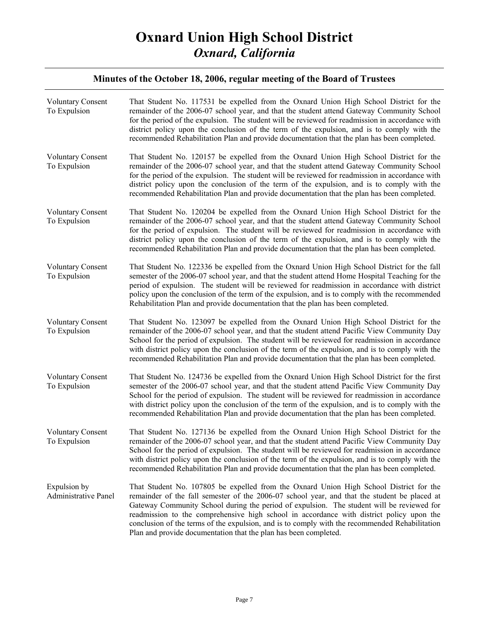| <b>Voluntary Consent</b><br>To Expulsion    | That Student No. 117531 be expelled from the Oxnard Union High School District for the<br>remainder of the 2006-07 school year, and that the student attend Gateway Community School<br>for the period of the expulsion. The student will be reviewed for readmission in accordance with<br>district policy upon the conclusion of the term of the expulsion, and is to comply with the<br>recommended Rehabilitation Plan and provide documentation that the plan has been completed.                                                                |
|---------------------------------------------|-------------------------------------------------------------------------------------------------------------------------------------------------------------------------------------------------------------------------------------------------------------------------------------------------------------------------------------------------------------------------------------------------------------------------------------------------------------------------------------------------------------------------------------------------------|
| <b>Voluntary Consent</b><br>To Expulsion    | That Student No. 120157 be expelled from the Oxnard Union High School District for the<br>remainder of the 2006-07 school year, and that the student attend Gateway Community School<br>for the period of the expulsion. The student will be reviewed for readmission in accordance with<br>district policy upon the conclusion of the term of the expulsion, and is to comply with the<br>recommended Rehabilitation Plan and provide documentation that the plan has been completed.                                                                |
| <b>Voluntary Consent</b><br>To Expulsion    | That Student No. 120204 be expelled from the Oxnard Union High School District for the<br>remainder of the 2006-07 school year, and that the student attend Gateway Community School<br>for the period of expulsion. The student will be reviewed for readmission in accordance with<br>district policy upon the conclusion of the term of the expulsion, and is to comply with the<br>recommended Rehabilitation Plan and provide documentation that the plan has been completed.                                                                    |
| <b>Voluntary Consent</b><br>To Expulsion    | That Student No. 122336 be expelled from the Oxnard Union High School District for the fall<br>semester of the 2006-07 school year, and that the student attend Home Hospital Teaching for the<br>period of expulsion. The student will be reviewed for readmission in accordance with district<br>policy upon the conclusion of the term of the expulsion, and is to comply with the recommended<br>Rehabilitation Plan and provide documentation that the plan has been completed.                                                                  |
| <b>Voluntary Consent</b><br>To Expulsion    | That Student No. 123097 be expelled from the Oxnard Union High School District for the<br>remainder of the 2006-07 school year, and that the student attend Pacific View Community Day<br>School for the period of expulsion. The student will be reviewed for readmission in accordance<br>with district policy upon the conclusion of the term of the expulsion, and is to comply with the<br>recommended Rehabilitation Plan and provide documentation that the plan has been completed.                                                           |
| <b>Voluntary Consent</b><br>To Expulsion    | That Student No. 124736 be expelled from the Oxnard Union High School District for the first<br>semester of the 2006-07 school year, and that the student attend Pacific View Community Day<br>School for the period of expulsion. The student will be reviewed for readmission in accordance<br>with district policy upon the conclusion of the term of the expulsion, and is to comply with the<br>recommended Rehabilitation Plan and provide documentation that the plan has been completed.                                                      |
| <b>Voluntary Consent</b><br>To Expulsion    | That Student No. 127136 be expelled from the Oxnard Union High School District for the<br>remainder of the 2006-07 school year, and that the student attend Pacific View Community Day<br>School for the period of expulsion. The student will be reviewed for readmission in accordance<br>with district policy upon the conclusion of the term of the expulsion, and is to comply with the<br>recommended Rehabilitation Plan and provide documentation that the plan has been completed.                                                           |
| Expulsion by<br><b>Administrative Panel</b> | That Student No. 107805 be expelled from the Oxnard Union High School District for the<br>remainder of the fall semester of the 2006-07 school year, and that the student be placed at<br>Gateway Community School during the period of expulsion. The student will be reviewed for<br>readmission to the comprehensive high school in accordance with district policy upon the<br>conclusion of the terms of the expulsion, and is to comply with the recommended Rehabilitation<br>Plan and provide documentation that the plan has been completed. |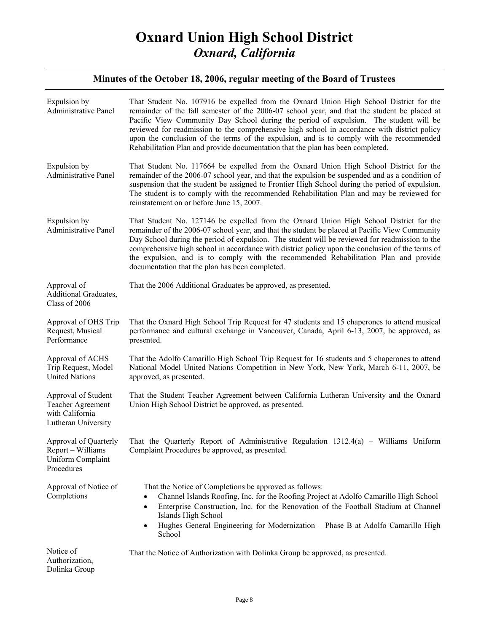| Expulsion by<br><b>Administrative Panel</b>                                          | That Student No. 107916 be expelled from the Oxnard Union High School District for the<br>remainder of the fall semester of the 2006-07 school year, and that the student be placed at<br>Pacific View Community Day School during the period of expulsion. The student will be<br>reviewed for readmission to the comprehensive high school in accordance with district policy<br>upon the conclusion of the terms of the expulsion, and is to comply with the recommended<br>Rehabilitation Plan and provide documentation that the plan has been completed. |
|--------------------------------------------------------------------------------------|----------------------------------------------------------------------------------------------------------------------------------------------------------------------------------------------------------------------------------------------------------------------------------------------------------------------------------------------------------------------------------------------------------------------------------------------------------------------------------------------------------------------------------------------------------------|
| Expulsion by<br><b>Administrative Panel</b>                                          | That Student No. 117664 be expelled from the Oxnard Union High School District for the<br>remainder of the 2006-07 school year, and that the expulsion be suspended and as a condition of<br>suspension that the student be assigned to Frontier High School during the period of expulsion.<br>The student is to comply with the recommended Rehabilitation Plan and may be reviewed for<br>reinstatement on or before June 15, 2007.                                                                                                                         |
| Expulsion by<br>Administrative Panel                                                 | That Student No. 127146 be expelled from the Oxnard Union High School District for the<br>remainder of the 2006-07 school year, and that the student be placed at Pacific View Community<br>Day School during the period of expulsion. The student will be reviewed for readmission to the<br>comprehensive high school in accordance with district policy upon the conclusion of the terms of<br>the expulsion, and is to comply with the recommended Rehabilitation Plan and provide<br>documentation that the plan has been completed.                      |
| Approval of<br>Additional Graduates,<br>Class of 2006                                | That the 2006 Additional Graduates be approved, as presented.                                                                                                                                                                                                                                                                                                                                                                                                                                                                                                  |
| Approval of OHS Trip<br>Request, Musical<br>Performance                              | That the Oxnard High School Trip Request for 47 students and 15 chaperones to attend musical<br>performance and cultural exchange in Vancouver, Canada, April 6-13, 2007, be approved, as<br>presented.                                                                                                                                                                                                                                                                                                                                                        |
| Approval of ACHS<br>Trip Request, Model<br><b>United Nations</b>                     | That the Adolfo Camarillo High School Trip Request for 16 students and 5 chaperones to attend<br>National Model United Nations Competition in New York, New York, March 6-11, 2007, be<br>approved, as presented.                                                                                                                                                                                                                                                                                                                                              |
| Approval of Student<br>Teacher Agreement<br>with California<br>Lutheran University   | That the Student Teacher Agreement between California Lutheran University and the Oxnard<br>Union High School District be approved, as presented.                                                                                                                                                                                                                                                                                                                                                                                                              |
| Approval of Quarterly<br>Report - Williams<br><b>Uniform Complaint</b><br>Procedures | That the Quarterly Report of Administrative Regulation $1312.4(a)$ – Williams Uniform<br>Complaint Procedures be approved, as presented.                                                                                                                                                                                                                                                                                                                                                                                                                       |
| Approval of Notice of<br>Completions                                                 | That the Notice of Completions be approved as follows:<br>Channel Islands Roofing, Inc. for the Roofing Project at Adolfo Camarillo High School<br>Enterprise Construction, Inc. for the Renovation of the Football Stadium at Channel<br>$\bullet$<br>Islands High School<br>Hughes General Engineering for Modernization - Phase B at Adolfo Camarillo High<br>$\bullet$<br>School                                                                                                                                                                           |
| Notice of<br>Authorization,<br>Dolinka Group                                         | That the Notice of Authorization with Dolinka Group be approved, as presented.                                                                                                                                                                                                                                                                                                                                                                                                                                                                                 |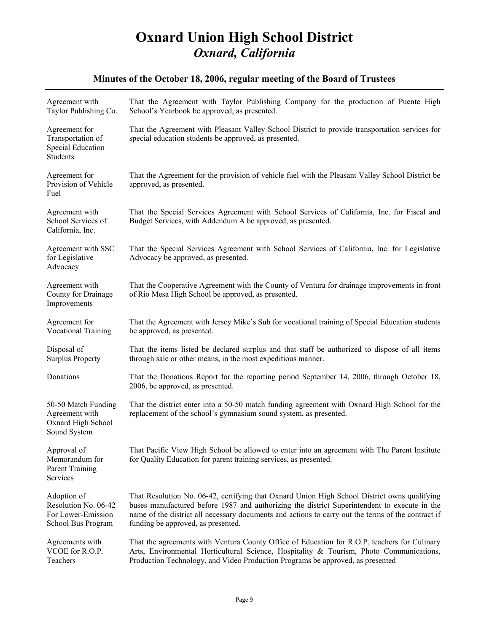| Agreement with<br>Taylor Publishing Co.                                         | That the Agreement with Taylor Publishing Company for the production of Puente High<br>School's Yearbook be approved, as presented.                                                                                                                                                                                                      |
|---------------------------------------------------------------------------------|------------------------------------------------------------------------------------------------------------------------------------------------------------------------------------------------------------------------------------------------------------------------------------------------------------------------------------------|
| Agreement for<br>Transportation of<br>Special Education<br>Students             | That the Agreement with Pleasant Valley School District to provide transportation services for<br>special education students be approved, as presented.                                                                                                                                                                                  |
| Agreement for<br>Provision of Vehicle<br>Fuel                                   | That the Agreement for the provision of vehicle fuel with the Pleasant Valley School District be<br>approved, as presented.                                                                                                                                                                                                              |
| Agreement with<br>School Services of<br>California, Inc.                        | That the Special Services Agreement with School Services of California, Inc. for Fiscal and<br>Budget Services, with Addendum A be approved, as presented.                                                                                                                                                                               |
| Agreement with SSC<br>for Legislative<br>Advocacy                               | That the Special Services Agreement with School Services of California, Inc. for Legislative<br>Advocacy be approved, as presented.                                                                                                                                                                                                      |
| Agreement with<br>County for Drainage<br>Improvements                           | That the Cooperative Agreement with the County of Ventura for drainage improvements in front<br>of Rio Mesa High School be approved, as presented.                                                                                                                                                                                       |
| Agreement for<br><b>Vocational Training</b>                                     | That the Agreement with Jersey Mike's Sub for vocational training of Special Education students<br>be approved, as presented.                                                                                                                                                                                                            |
| Disposal of<br><b>Surplus Property</b>                                          | That the items listed be declared surplus and that staff be authorized to dispose of all items<br>through sale or other means, in the most expeditious manner.                                                                                                                                                                           |
| Donations                                                                       | That the Donations Report for the reporting period September 14, 2006, through October 18,<br>2006, be approved, as presented.                                                                                                                                                                                                           |
| 50-50 Match Funding<br>Agreement with<br>Oxnard High School<br>Sound System     | That the district enter into a 50-50 match funding agreement with Oxnard High School for the<br>replacement of the school's gymnasium sound system, as presented.                                                                                                                                                                        |
| Approval of<br>Memorandum for<br><b>Parent Training</b><br>Services             | That Pacific View High School be allowed to enter into an agreement with The Parent Institute<br>for Quality Education for parent training services, as presented.                                                                                                                                                                       |
| Adoption of<br>Resolution No. 06-42<br>For Lower-Emission<br>School Bus Program | That Resolution No. 06-42, certifying that Oxnard Union High School District owns qualifying<br>buses manufactured before 1987 and authorizing the district Superintendent to execute in the<br>name of the district all necessary documents and actions to carry out the terms of the contract if<br>funding be approved, as presented. |
| Agreements with<br>VCOE for R.O.P.<br>Teachers                                  | That the agreements with Ventura County Office of Education for R.O.P. teachers for Culinary<br>Arts, Environmental Horticultural Science, Hospitality $\&$ Tourism, Photo Communications,<br>Production Technology, and Video Production Programs be approved, as presented                                                             |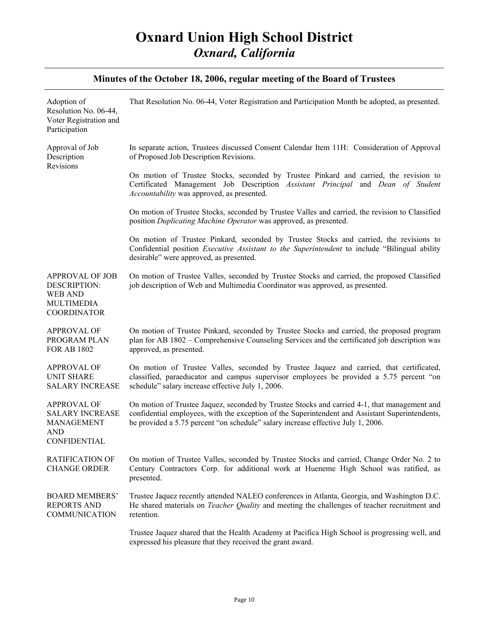| Adoption of<br>Resolution No. 06-44,<br>Voter Registration and<br>Participation                     | That Resolution No. 06-44, Voter Registration and Participation Month be adopted, as presented.                                                                                                                                                                                     |
|-----------------------------------------------------------------------------------------------------|-------------------------------------------------------------------------------------------------------------------------------------------------------------------------------------------------------------------------------------------------------------------------------------|
| Approval of Job<br>Description<br>Revisions                                                         | In separate action, Trustees discussed Consent Calendar Item 11H: Consideration of Approval<br>of Proposed Job Description Revisions.                                                                                                                                               |
|                                                                                                     | On motion of Trustee Stocks, seconded by Trustee Pinkard and carried, the revision to<br>Certificated Management Job Description Assistant Principal and Dean of Student<br>Accountability was approved, as presented.                                                              |
|                                                                                                     | On motion of Trustee Stocks, seconded by Trustee Valles and carried, the revision to Classified<br>position Duplicating Machine Operator was approved, as presented.                                                                                                                |
|                                                                                                     | On motion of Trustee Pinkard, seconded by Trustee Stocks and carried, the revisions to<br>Confidential position <i>Executive Assistant to the Superintendent</i> to include "Bilingual ability"<br>desirable" were approved, as presented.                                          |
| <b>APPROVAL OF JOB</b><br>DESCRIPTION:<br><b>WEB AND</b><br><b>MULTIMEDIA</b><br><b>COORDINATOR</b> | On motion of Trustee Valles, seconded by Trustee Stocks and carried, the proposed Classified<br>job description of Web and Multimedia Coordinator was approved, as presented.                                                                                                       |
| <b>APPROVAL OF</b><br>PROGRAM PLAN<br><b>FOR AB 1802</b>                                            | On motion of Trustee Pinkard, seconded by Trustee Stocks and carried, the proposed program<br>plan for AB 1802 – Comprehensive Counseling Services and the certificated job description was<br>approved, as presented.                                                              |
| <b>APPROVAL OF</b><br><b>UNIT SHARE</b><br><b>SALARY INCREASE</b>                                   | On motion of Trustee Valles, seconded by Trustee Jaquez and carried, that certificated,<br>classified, paraeducator and campus supervisor employees be provided a 5.75 percent "on<br>schedule" salary increase effective July 1, 2006.                                             |
| <b>APPROVAL OF</b><br><b>SALARY INCREASE</b><br>MANAGEMENT<br><b>AND</b><br>CONFIDENTIAL            | On motion of Trustee Jaquez, seconded by Trustee Stocks and carried 4-1, that management and<br>confidential employees, with the exception of the Superintendent and Assistant Superintendents,<br>be provided a 5.75 percent "on schedule" salary increase effective July 1, 2006. |
| <b>RATIFICATION OF</b><br><b>CHANGE ORDER</b>                                                       | On motion of Trustee Valles, seconded by Trustee Stocks and carried, Change Order No. 2 to<br>Century Contractors Corp. for additional work at Hueneme High School was ratified, as<br>presented.                                                                                   |
| <b>BOARD MEMBERS'</b><br><b>REPORTS AND</b><br><b>COMMUNICATION</b>                                 | Trustee Jaquez recently attended NALEO conferences in Atlanta, Georgia, and Washington D.C.<br>He shared materials on <i>Teacher Quality</i> and meeting the challenges of teacher recruitment and<br>retention.                                                                    |
|                                                                                                     | Trustee Jaquez shared that the Health Academy at Pacifica High School is progressing well, and<br>expressed his pleasure that they received the grant award.                                                                                                                        |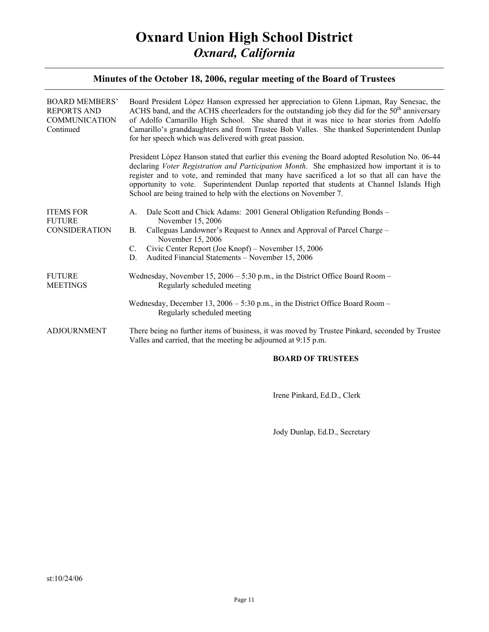| <b>BOARD MEMBERS'</b><br><b>REPORTS AND</b><br><b>COMMUNICATION</b><br>Continued | Board President López Hanson expressed her appreciation to Glenn Lipman, Ray Senesac, the<br>ACHS band, and the ACHS cheerleaders for the outstanding job they did for the $50th$ anniversary<br>of Adolfo Camarillo High School. She shared that it was nice to hear stories from Adolfo<br>Camarillo's granddaughters and from Trustee Bob Valles. She thanked Superintendent Dunlap<br>for her speech which was delivered with great passion.                |
|----------------------------------------------------------------------------------|-----------------------------------------------------------------------------------------------------------------------------------------------------------------------------------------------------------------------------------------------------------------------------------------------------------------------------------------------------------------------------------------------------------------------------------------------------------------|
|                                                                                  | President López Hanson stated that earlier this evening the Board adopted Resolution No. 06-44<br>declaring Voter Registration and Participation Month. She emphasized how important it is to<br>register and to vote, and reminded that many have sacrificed a lot so that all can have the<br>opportunity to vote. Superintendent Dunlap reported that students at Channel Islands High<br>School are being trained to help with the elections on November 7. |
| <b>ITEMS FOR</b><br><b>FUTURE</b>                                                | Dale Scott and Chick Adams: 2001 General Obligation Refunding Bonds -<br>A.<br>November 15, 2006                                                                                                                                                                                                                                                                                                                                                                |
| <b>CONSIDERATION</b>                                                             | Calleguas Landowner's Request to Annex and Approval of Parcel Charge -<br>B.<br>November 15, 2006                                                                                                                                                                                                                                                                                                                                                               |
|                                                                                  | Civic Center Report (Joe Knopf) – November 15, 2006<br>C.                                                                                                                                                                                                                                                                                                                                                                                                       |
|                                                                                  | Audited Financial Statements - November 15, 2006<br>D.                                                                                                                                                                                                                                                                                                                                                                                                          |
| <b>FUTURE</b><br><b>MEETINGS</b>                                                 | Wednesday, November 15, $2006 - 5:30$ p.m., in the District Office Board Room -<br>Regularly scheduled meeting                                                                                                                                                                                                                                                                                                                                                  |
|                                                                                  | Wednesday, December 13, $2006 - 5:30$ p.m., in the District Office Board Room –<br>Regularly scheduled meeting                                                                                                                                                                                                                                                                                                                                                  |
| <b>ADJOURNMENT</b>                                                               | There being no further items of business, it was moved by Trustee Pinkard, seconded by Trustee<br>Valles and carried, that the meeting be adjourned at 9:15 p.m.                                                                                                                                                                                                                                                                                                |
|                                                                                  | <b>BOARD OF TRUSTEES</b>                                                                                                                                                                                                                                                                                                                                                                                                                                        |

Irene Pinkard, Ed.D., Clerk

Jody Dunlap, Ed.D., Secretary